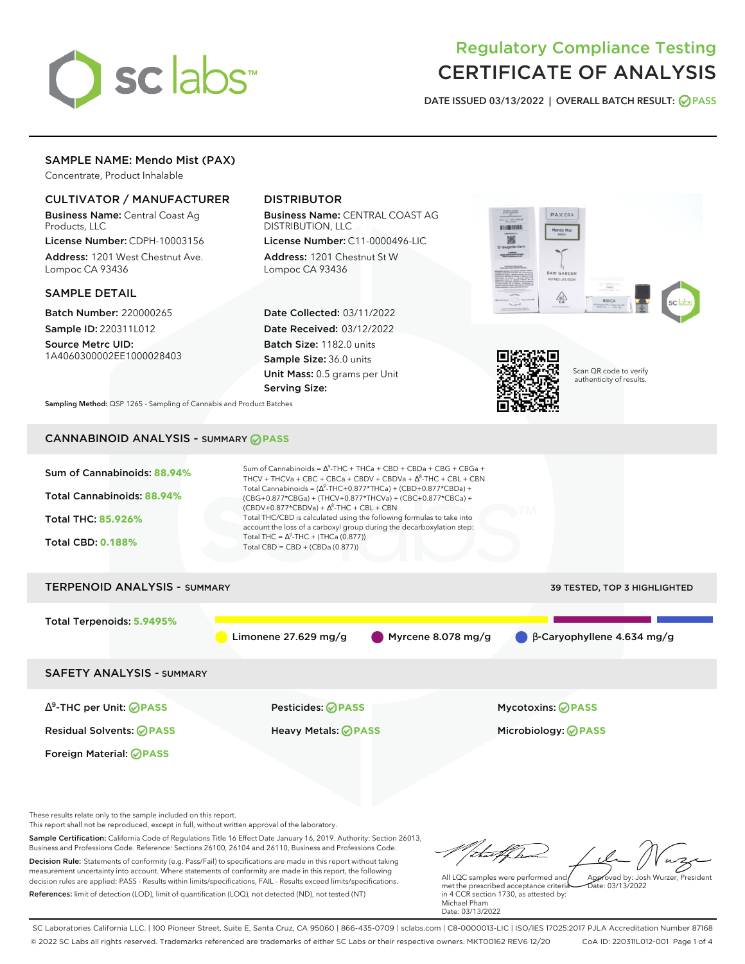# sclabs

## Regulatory Compliance Testing CERTIFICATE OF ANALYSIS

**DATE ISSUED 03/13/2022 | OVERALL BATCH RESULT: PASS**

#### SAMPLE NAME: Mendo Mist (PAX)

Concentrate, Product Inhalable

#### CULTIVATOR / MANUFACTURER

Business Name: Central Coast Ag Products, LLC

License Number: CDPH-10003156 Address: 1201 West Chestnut Ave. Lompoc CA 93436

#### SAMPLE DETAIL

Batch Number: 220000265 Sample ID: 220311L012

Source Metrc UID: 1A4060300002EE1000028403

#### DISTRIBUTOR

Business Name: CENTRAL COAST AG DISTRIBUTION, LLC

License Number: C11-0000496-LIC Address: 1201 Chestnut St W Lompoc CA 93436

Date Collected: 03/11/2022 Date Received: 03/12/2022 Batch Size: 1182.0 units Sample Size: 36.0 units Unit Mass: 0.5 grams per Unit Serving Size:





Scan QR code to verify authenticity of results.

**Sampling Method:** QSP 1265 - Sampling of Cannabis and Product Batches

### CANNABINOID ANALYSIS - SUMMARY **PASS**



This report shall not be reproduced, except in full, without written approval of the laboratory.

Sample Certification: California Code of Regulations Title 16 Effect Date January 16, 2019. Authority: Section 26013, Business and Professions Code. Reference: Sections 26100, 26104 and 26110, Business and Professions Code. Decision Rule: Statements of conformity (e.g. Pass/Fail) to specifications are made in this report without taking measurement uncertainty into account. Where statements of conformity are made in this report, the following decision rules are applied: PASS - Results within limits/specifications, FAIL - Results exceed limits/specifications.

References: limit of detection (LOD), limit of quantification (LOQ), not detected (ND), not tested (NT)

tu#f h Approved by: Josh Wurzer, President

 $ate: 03/13/2022$ 

All LQC samples were performed and met the prescribed acceptance criteria in 4 CCR section 1730, as attested by: Michael Pham Date: 03/13/2022

SC Laboratories California LLC. | 100 Pioneer Street, Suite E, Santa Cruz, CA 95060 | 866-435-0709 | sclabs.com | C8-0000013-LIC | ISO/IES 17025:2017 PJLA Accreditation Number 87168 © 2022 SC Labs all rights reserved. Trademarks referenced are trademarks of either SC Labs or their respective owners. MKT00162 REV6 12/20 CoA ID: 220311L012-001 Page 1 of 4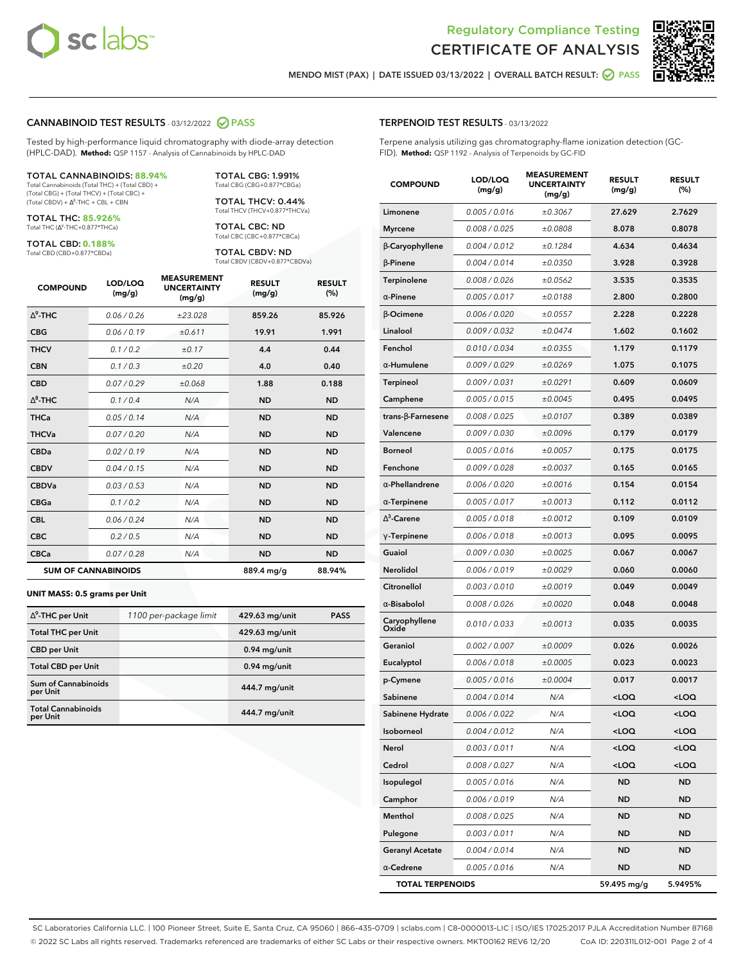



**MENDO MIST (PAX) | DATE ISSUED 03/13/2022 | OVERALL BATCH RESULT: PASS**

#### **CANNABINOID TEST RESULTS** - 03/12/2022 **PASS**

Tested by high-performance liquid chromatography with diode-array detection (HPLC-DAD). **Method:** QSP 1157 - Analysis of Cannabinoids by HPLC-DAD

#### TOTAL CANNABINOIDS: **88.94%**

Total Cannabinoids (Total THC) + (Total CBD) + (Total CBG) + (Total THCV) + (Total CBC) +  $(Total CBDV) +  $\Delta^8$ -THC + CBL + CBN$ 

TOTAL THC: **85.926%** Total THC (Δ<sup>9</sup>-THC+0.877\*THCa)

TOTAL CBD: **0.188%**

Total CBD (CBD+0.877\*CBDa)

TOTAL CBG: 1.991% Total CBG (CBG+0.877\*CBGa)

TOTAL THCV: 0.44% Total THCV (THCV+0.877\*THCVa)

TOTAL CBC: ND Total CBC (CBC+0.877\*CBCa)

TOTAL CBDV: ND Total CBDV (CBDV+0.877\*CBDVa)

| <b>COMPOUND</b> | LOD/LOQ<br>(mg/g)          | <b>MEASUREMENT</b><br><b>UNCERTAINTY</b><br>(mg/g) | <b>RESULT</b><br>(mg/g) | <b>RESULT</b><br>(%) |
|-----------------|----------------------------|----------------------------------------------------|-------------------------|----------------------|
| $\wedge^9$ -THC | 0.06 / 0.26                | ±23.028                                            | 859.26                  | 85.926               |
| <b>CBG</b>      | 0.06/0.19                  | ±0.611                                             | 19.91                   | 1.991                |
| <b>THCV</b>     | 0.1/0.2                    | ±0.17                                              | 4.4                     | 0.44                 |
| <b>CBN</b>      | 0.1/0.3                    | ±0.20                                              | 4.0                     | 0.40                 |
| <b>CBD</b>      | 0.07/0.29                  | ±0.068                                             | 1.88                    | 0.188                |
| $\Delta^8$ -THC | 0.1 / 0.4                  | N/A                                                | <b>ND</b>               | <b>ND</b>            |
| <b>THCa</b>     | 0.05/0.14                  | N/A                                                | <b>ND</b>               | <b>ND</b>            |
| <b>THCVa</b>    | 0.07/0.20                  | N/A                                                | <b>ND</b>               | <b>ND</b>            |
| <b>CBDa</b>     | 0.02/0.19                  | N/A                                                | <b>ND</b>               | <b>ND</b>            |
| <b>CBDV</b>     | 0.04 / 0.15                | N/A                                                | <b>ND</b>               | <b>ND</b>            |
| <b>CBDVa</b>    | 0.03/0.53                  | N/A                                                | <b>ND</b>               | <b>ND</b>            |
| <b>CBGa</b>     | 0.1/0.2                    | N/A                                                | <b>ND</b>               | <b>ND</b>            |
| <b>CBL</b>      | 0.06 / 0.24                | N/A                                                | <b>ND</b>               | <b>ND</b>            |
| <b>CBC</b>      | 0.2 / 0.5                  | N/A                                                | <b>ND</b>               | <b>ND</b>            |
| <b>CBCa</b>     | 0.07 / 0.28                | N/A                                                | <b>ND</b>               | <b>ND</b>            |
|                 | <b>SUM OF CANNABINOIDS</b> |                                                    | 889.4 mg/g              | 88.94%               |

#### **UNIT MASS: 0.5 grams per Unit**

| $\Delta^9$ -THC per Unit               | 1100 per-package limit | 429.63 mg/unit | <b>PASS</b> |
|----------------------------------------|------------------------|----------------|-------------|
| <b>Total THC per Unit</b>              |                        | 429.63 mg/unit |             |
| <b>CBD</b> per Unit                    |                        | $0.94$ mg/unit |             |
| <b>Total CBD per Unit</b>              |                        | $0.94$ mg/unit |             |
| <b>Sum of Cannabinoids</b><br>per Unit |                        | 444.7 mg/unit  |             |
| <b>Total Cannabinoids</b><br>per Unit  |                        | 444.7 mg/unit  |             |

| <b>COMPOUND</b>         | <b>LOD/LOQ</b><br>(mg/g) | <b>UNCERTAINTY</b><br>(mg/g) | <b>RESULT</b><br>(mg/g)                         | <b>RESULT</b><br>$(\%)$ |
|-------------------------|--------------------------|------------------------------|-------------------------------------------------|-------------------------|
| Limonene                | 0.005 / 0.016            | ±0.3067                      | 27.629                                          | 2.7629                  |
| <b>Myrcene</b>          | 0.008 / 0.025            | ±0.0808                      | 8.078                                           | 0.8078                  |
| β-Caryophyllene         | 0.004 / 0.012            | ±0.1284                      | 4.634                                           | 0.4634                  |
| $\beta$ -Pinene         | 0.004 / 0.014            | ±0.0350                      | 3.928                                           | 0.3928                  |
| Terpinolene             | 0.008 / 0.026            | ±0.0562                      | 3.535                                           | 0.3535                  |
| $\alpha$ -Pinene        | 0.005 / 0.017            | ±0.0188                      | 2.800                                           | 0.2800                  |
| β-Ocimene               | 0.006 / 0.020            | ±0.0557                      | 2.228                                           | 0.2228                  |
| Linalool                | 0.009 / 0.032            | ±0.0474                      | 1.602                                           | 0.1602                  |
| Fenchol                 | 0.010 / 0.034            | ±0.0355                      | 1.179                                           | 0.1179                  |
| α-Humulene              | 0.009/0.029              | ±0.0269                      | 1.075                                           | 0.1075                  |
| Terpineol               | 0.009 / 0.031            | ±0.0291                      | 0.609                                           | 0.0609                  |
| Camphene                | 0.005 / 0.015            | ±0.0045                      | 0.495                                           | 0.0495                  |
| trans-β-Farnesene       | 0.008 / 0.025            | ±0.0107                      | 0.389                                           | 0.0389                  |
| Valencene               | 0.009 / 0.030            | ±0.0096                      | 0.179                                           | 0.0179                  |
| <b>Borneol</b>          | 0.005 / 0.016            | ±0.0057                      | 0.175                                           | 0.0175                  |
| Fenchone                | 0.009 / 0.028            | ±0.0037                      | 0.165                                           | 0.0165                  |
| $\alpha$ -Phellandrene  | 0.006 / 0.020            | ±0.0016                      | 0.154                                           | 0.0154                  |
| $\alpha$ -Terpinene     | 0.005 / 0.017            | ±0.0013                      | 0.112                                           | 0.0112                  |
| $\Delta^3$ -Carene      | 0.005 / 0.018            | ±0.0012                      | 0.109                                           | 0.0109                  |
| $\gamma$ -Terpinene     | 0.006 / 0.018            | ±0.0013                      | 0.095                                           | 0.0095                  |
| Guaiol                  | 0.009 / 0.030            | ±0.0025                      | 0.067                                           | 0.0067                  |
| Nerolidol               | 0.006 / 0.019            | ±0.0029                      | 0.060                                           | 0.0060                  |
| Citronellol             | 0.003 / 0.010            | ±0.0019                      | 0.049                                           | 0.0049                  |
| $\alpha$ -Bisabolol     | 0.008 / 0.026            | ±0.0020                      | 0.048                                           | 0.0048                  |
| Caryophyllene<br>Oxide  | 0.010 / 0.033            | ±0.0013                      | 0.035                                           | 0.0035                  |
| Geraniol                | 0.002 / 0.007            | ±0.0009                      | 0.026                                           | 0.0026                  |
| Eucalyptol              | 0.006 / 0.018            | ±0.0005                      | 0.023                                           | 0.0023                  |
| p-Cymene                | 0.005 / 0.016            | ±0.0004                      | 0.017                                           | 0.0017                  |
| Sabinene                | 0.004 / 0.014            | N/A                          | <loq< th=""><th><loq< th=""></loq<></th></loq<> | <loq< th=""></loq<>     |
| Sabinene Hydrate        | 0.006 / 0.022            | N/A                          | $<$ LOQ                                         | $<$ LOQ                 |
| Isoborneol              | 0.004 / 0.012            | N/A                          | <loq< th=""><th><loq< th=""></loq<></th></loq<> | <loq< th=""></loq<>     |
| Nerol                   | 0.003 / 0.011            | N/A                          | <loq< th=""><th><loq< th=""></loq<></th></loq<> | <loq< th=""></loq<>     |
| Cedrol                  | 0.008 / 0.027            | N/A                          | $<$ LOQ                                         | $<$ LOQ                 |
| Isopulegol              | 0.005 / 0.016            | N/A                          | <b>ND</b>                                       | ND                      |
| Camphor                 | 0.006 / 0.019            | N/A                          | ND                                              | <b>ND</b>               |
| Menthol                 | 0.008 / 0.025            | N/A                          | <b>ND</b>                                       | <b>ND</b>               |
| Pulegone                | 0.003 / 0.011            | N/A                          | <b>ND</b>                                       | ND                      |
| <b>Geranyl Acetate</b>  | 0.004 / 0.014            | N/A                          | ND                                              | ND                      |
| $\alpha$ -Cedrene       | 0.005 / 0.016            | N/A                          | <b>ND</b>                                       | ND                      |
| <b>TOTAL TERPENOIDS</b> |                          |                              | 59.495 mg/g                                     | 5.9495%                 |

SC Laboratories California LLC. | 100 Pioneer Street, Suite E, Santa Cruz, CA 95060 | 866-435-0709 | sclabs.com | C8-0000013-LIC | ISO/IES 17025:2017 PJLA Accreditation Number 87168 © 2022 SC Labs all rights reserved. Trademarks referenced are trademarks of either SC Labs or their respective owners. MKT00162 REV6 12/20 CoA ID: 220311L012-001 Page 2 of 4

#### **TERPENOID TEST RESULTS** - 03/13/2022

Terpene analysis utilizing gas chromatography-flame ionization detection (GC-FID). **Method:** QSP 1192 - Analysis of Terpenoids by GC-FID

**MEASUREMENT**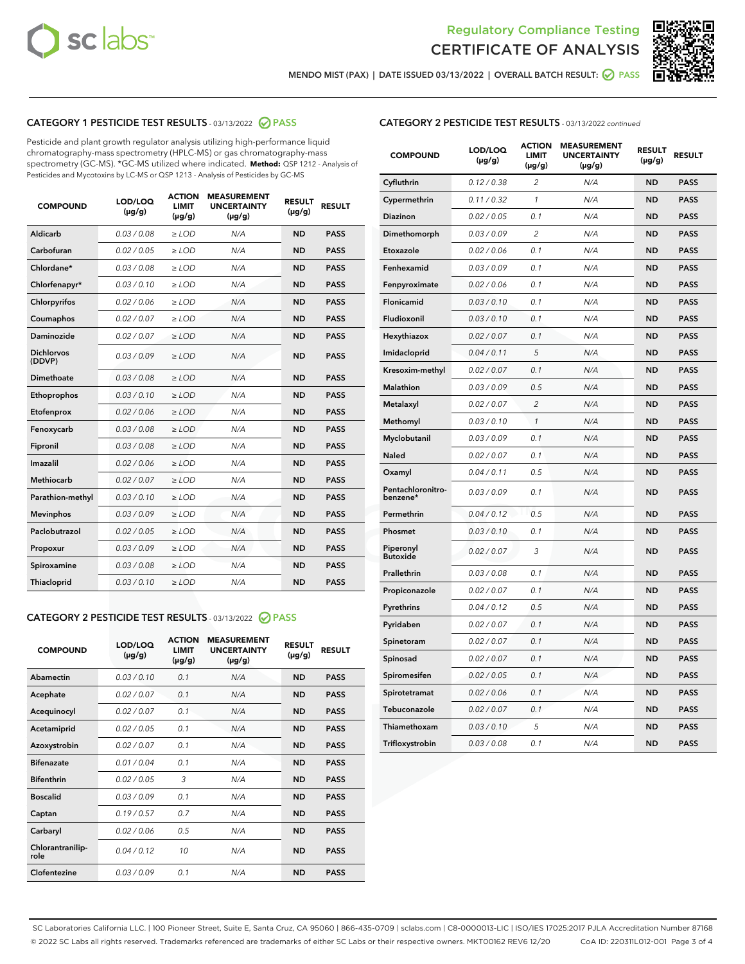



**MENDO MIST (PAX) | DATE ISSUED 03/13/2022 | OVERALL BATCH RESULT: PASS**

#### **CATEGORY 1 PESTICIDE TEST RESULTS** - 03/13/2022 **PASS**

Pesticide and plant growth regulator analysis utilizing high-performance liquid chromatography-mass spectrometry (HPLC-MS) or gas chromatography-mass spectrometry (GC-MS). \*GC-MS utilized where indicated. **Method:** QSP 1212 - Analysis of Pesticides and Mycotoxins by LC-MS or QSP 1213 - Analysis of Pesticides by GC-MS

| 0.03 / 0.08<br><b>ND</b><br>Aldicarb<br>$\ge$ LOD<br>N/A<br><b>PASS</b><br>Carbofuran<br>0.02 / 0.05<br>$>$ LOD<br>N/A<br><b>ND</b><br><b>PASS</b><br>Chlordane*<br>0.03 / 0.08<br>N/A<br><b>ND</b><br><b>PASS</b><br>$\geq$ LOD<br>Chlorfenapyr*<br>0.03/0.10<br>N/A<br><b>ND</b><br><b>PASS</b><br>$\geq$ LOD<br>N/A<br><b>ND</b><br><b>PASS</b><br>Chlorpyrifos<br>0.02/0.06<br>$>$ LOD<br>0.02 / 0.07<br><b>PASS</b><br>Coumaphos<br>$\ge$ LOD<br>N/A<br><b>ND</b><br>Daminozide<br>0.02 / 0.07<br>N/A<br><b>PASS</b><br>$\ge$ LOD<br><b>ND</b><br><b>Dichlorvos</b><br>0.03/0.09<br>N/A<br>$\ge$ LOD<br><b>ND</b><br><b>PASS</b><br>(DDVP)<br>0.03 / 0.08<br><b>ND</b><br>Dimethoate<br>$>$ LOD<br>N/A<br><b>PASS</b><br>0.03/0.10<br><b>ND</b><br><b>PASS</b><br>Ethoprophos<br>$>$ LOD<br>N/A<br>0.02 / 0.06<br>N/A<br><b>ND</b><br><b>PASS</b><br>Etofenprox<br>$\ge$ LOD<br>0.03 / 0.08<br>N/A<br><b>ND</b><br><b>PASS</b><br>Fenoxycarb<br>$\ge$ LOD<br>0.03 / 0.08<br><b>ND</b><br><b>PASS</b><br>Fipronil<br>$\ge$ LOD<br>N/A<br>Imazalil<br>0.02 / 0.06<br>N/A<br><b>ND</b><br>$\ge$ LOD<br><b>PASS</b><br><b>Methiocarb</b><br>0.02 / 0.07<br>$\ge$ LOD<br>N/A<br><b>ND</b><br><b>PASS</b><br>Parathion-methyl<br>0.03/0.10<br>$>$ LOD<br>N/A<br><b>ND</b><br><b>PASS</b><br>0.03/0.09<br>N/A<br><b>ND</b><br><b>PASS</b><br><b>Mevinphos</b><br>$\ge$ LOD<br>Paclobutrazol<br>0.02 / 0.05<br>N/A<br><b>ND</b><br><b>PASS</b><br>$\ge$ LOD<br>0.03/0.09<br>$>$ LOD<br>N/A<br><b>ND</b><br><b>PASS</b><br>Propoxur<br>0.03 / 0.08<br>$\ge$ LOD<br>N/A<br><b>ND</b><br><b>PASS</b><br>Spiroxamine<br>0.03/0.10<br>N/A<br><b>ND</b><br><b>PASS</b><br>Thiacloprid<br>$\ge$ LOD | <b>COMPOUND</b> | LOD/LOQ<br>$(\mu g/g)$ | <b>ACTION</b><br><b>LIMIT</b><br>$(\mu g/g)$ | <b>MEASUREMENT</b><br><b>UNCERTAINTY</b><br>$(\mu g/g)$ | <b>RESULT</b><br>$(\mu g/g)$ | <b>RESULT</b> |
|-------------------------------------------------------------------------------------------------------------------------------------------------------------------------------------------------------------------------------------------------------------------------------------------------------------------------------------------------------------------------------------------------------------------------------------------------------------------------------------------------------------------------------------------------------------------------------------------------------------------------------------------------------------------------------------------------------------------------------------------------------------------------------------------------------------------------------------------------------------------------------------------------------------------------------------------------------------------------------------------------------------------------------------------------------------------------------------------------------------------------------------------------------------------------------------------------------------------------------------------------------------------------------------------------------------------------------------------------------------------------------------------------------------------------------------------------------------------------------------------------------------------------------------------------------------------------------------------------------------------------------------------------------------------------------------------|-----------------|------------------------|----------------------------------------------|---------------------------------------------------------|------------------------------|---------------|
|                                                                                                                                                                                                                                                                                                                                                                                                                                                                                                                                                                                                                                                                                                                                                                                                                                                                                                                                                                                                                                                                                                                                                                                                                                                                                                                                                                                                                                                                                                                                                                                                                                                                                           |                 |                        |                                              |                                                         |                              |               |
|                                                                                                                                                                                                                                                                                                                                                                                                                                                                                                                                                                                                                                                                                                                                                                                                                                                                                                                                                                                                                                                                                                                                                                                                                                                                                                                                                                                                                                                                                                                                                                                                                                                                                           |                 |                        |                                              |                                                         |                              |               |
|                                                                                                                                                                                                                                                                                                                                                                                                                                                                                                                                                                                                                                                                                                                                                                                                                                                                                                                                                                                                                                                                                                                                                                                                                                                                                                                                                                                                                                                                                                                                                                                                                                                                                           |                 |                        |                                              |                                                         |                              |               |
|                                                                                                                                                                                                                                                                                                                                                                                                                                                                                                                                                                                                                                                                                                                                                                                                                                                                                                                                                                                                                                                                                                                                                                                                                                                                                                                                                                                                                                                                                                                                                                                                                                                                                           |                 |                        |                                              |                                                         |                              |               |
|                                                                                                                                                                                                                                                                                                                                                                                                                                                                                                                                                                                                                                                                                                                                                                                                                                                                                                                                                                                                                                                                                                                                                                                                                                                                                                                                                                                                                                                                                                                                                                                                                                                                                           |                 |                        |                                              |                                                         |                              |               |
|                                                                                                                                                                                                                                                                                                                                                                                                                                                                                                                                                                                                                                                                                                                                                                                                                                                                                                                                                                                                                                                                                                                                                                                                                                                                                                                                                                                                                                                                                                                                                                                                                                                                                           |                 |                        |                                              |                                                         |                              |               |
|                                                                                                                                                                                                                                                                                                                                                                                                                                                                                                                                                                                                                                                                                                                                                                                                                                                                                                                                                                                                                                                                                                                                                                                                                                                                                                                                                                                                                                                                                                                                                                                                                                                                                           |                 |                        |                                              |                                                         |                              |               |
|                                                                                                                                                                                                                                                                                                                                                                                                                                                                                                                                                                                                                                                                                                                                                                                                                                                                                                                                                                                                                                                                                                                                                                                                                                                                                                                                                                                                                                                                                                                                                                                                                                                                                           |                 |                        |                                              |                                                         |                              |               |
|                                                                                                                                                                                                                                                                                                                                                                                                                                                                                                                                                                                                                                                                                                                                                                                                                                                                                                                                                                                                                                                                                                                                                                                                                                                                                                                                                                                                                                                                                                                                                                                                                                                                                           |                 |                        |                                              |                                                         |                              |               |
|                                                                                                                                                                                                                                                                                                                                                                                                                                                                                                                                                                                                                                                                                                                                                                                                                                                                                                                                                                                                                                                                                                                                                                                                                                                                                                                                                                                                                                                                                                                                                                                                                                                                                           |                 |                        |                                              |                                                         |                              |               |
|                                                                                                                                                                                                                                                                                                                                                                                                                                                                                                                                                                                                                                                                                                                                                                                                                                                                                                                                                                                                                                                                                                                                                                                                                                                                                                                                                                                                                                                                                                                                                                                                                                                                                           |                 |                        |                                              |                                                         |                              |               |
|                                                                                                                                                                                                                                                                                                                                                                                                                                                                                                                                                                                                                                                                                                                                                                                                                                                                                                                                                                                                                                                                                                                                                                                                                                                                                                                                                                                                                                                                                                                                                                                                                                                                                           |                 |                        |                                              |                                                         |                              |               |
|                                                                                                                                                                                                                                                                                                                                                                                                                                                                                                                                                                                                                                                                                                                                                                                                                                                                                                                                                                                                                                                                                                                                                                                                                                                                                                                                                                                                                                                                                                                                                                                                                                                                                           |                 |                        |                                              |                                                         |                              |               |
|                                                                                                                                                                                                                                                                                                                                                                                                                                                                                                                                                                                                                                                                                                                                                                                                                                                                                                                                                                                                                                                                                                                                                                                                                                                                                                                                                                                                                                                                                                                                                                                                                                                                                           |                 |                        |                                              |                                                         |                              |               |
|                                                                                                                                                                                                                                                                                                                                                                                                                                                                                                                                                                                                                                                                                                                                                                                                                                                                                                                                                                                                                                                                                                                                                                                                                                                                                                                                                                                                                                                                                                                                                                                                                                                                                           |                 |                        |                                              |                                                         |                              |               |
|                                                                                                                                                                                                                                                                                                                                                                                                                                                                                                                                                                                                                                                                                                                                                                                                                                                                                                                                                                                                                                                                                                                                                                                                                                                                                                                                                                                                                                                                                                                                                                                                                                                                                           |                 |                        |                                              |                                                         |                              |               |
|                                                                                                                                                                                                                                                                                                                                                                                                                                                                                                                                                                                                                                                                                                                                                                                                                                                                                                                                                                                                                                                                                                                                                                                                                                                                                                                                                                                                                                                                                                                                                                                                                                                                                           |                 |                        |                                              |                                                         |                              |               |
|                                                                                                                                                                                                                                                                                                                                                                                                                                                                                                                                                                                                                                                                                                                                                                                                                                                                                                                                                                                                                                                                                                                                                                                                                                                                                                                                                                                                                                                                                                                                                                                                                                                                                           |                 |                        |                                              |                                                         |                              |               |
|                                                                                                                                                                                                                                                                                                                                                                                                                                                                                                                                                                                                                                                                                                                                                                                                                                                                                                                                                                                                                                                                                                                                                                                                                                                                                                                                                                                                                                                                                                                                                                                                                                                                                           |                 |                        |                                              |                                                         |                              |               |
|                                                                                                                                                                                                                                                                                                                                                                                                                                                                                                                                                                                                                                                                                                                                                                                                                                                                                                                                                                                                                                                                                                                                                                                                                                                                                                                                                                                                                                                                                                                                                                                                                                                                                           |                 |                        |                                              |                                                         |                              |               |
|                                                                                                                                                                                                                                                                                                                                                                                                                                                                                                                                                                                                                                                                                                                                                                                                                                                                                                                                                                                                                                                                                                                                                                                                                                                                                                                                                                                                                                                                                                                                                                                                                                                                                           |                 |                        |                                              |                                                         |                              |               |

#### **CATEGORY 2 PESTICIDE TEST RESULTS** - 03/13/2022 **PASS**

| <b>COMPOUND</b>          | LOD/LOO<br>$(\mu g/g)$ | <b>ACTION</b><br><b>LIMIT</b><br>(µg/g) | <b>MEASUREMENT</b><br><b>UNCERTAINTY</b><br>$(\mu g/g)$ | <b>RESULT</b><br>$(\mu g/g)$ | <b>RESULT</b> |  |
|--------------------------|------------------------|-----------------------------------------|---------------------------------------------------------|------------------------------|---------------|--|
| Abamectin                | 0.03/0.10              | 0.1                                     | N/A                                                     | <b>ND</b>                    | <b>PASS</b>   |  |
| Acephate                 | 0.02/0.07              | 0.1                                     | N/A                                                     | <b>ND</b>                    | <b>PASS</b>   |  |
| Acequinocyl              | 0.02/0.07              | 0.1                                     | N/A                                                     | <b>ND</b>                    | <b>PASS</b>   |  |
| Acetamiprid              | 0.02/0.05              | 0.1                                     | N/A                                                     | <b>ND</b>                    | <b>PASS</b>   |  |
| Azoxystrobin             | 0.02/0.07              | 0.1                                     | N/A                                                     | <b>ND</b>                    | <b>PASS</b>   |  |
| <b>Bifenazate</b>        | 0.01/0.04              | 0.1                                     | N/A                                                     | <b>ND</b>                    | <b>PASS</b>   |  |
| <b>Bifenthrin</b>        | 0.02/0.05              | 3                                       | N/A                                                     | <b>ND</b>                    | <b>PASS</b>   |  |
| <b>Boscalid</b>          | 0.03/0.09              | 0.1                                     | N/A                                                     | <b>ND</b>                    | <b>PASS</b>   |  |
| Captan                   | 0.19/0.57              | 0.7                                     | N/A                                                     | <b>ND</b>                    | <b>PASS</b>   |  |
| Carbaryl                 | 0.02/0.06              | 0.5                                     | N/A                                                     | <b>ND</b>                    | <b>PASS</b>   |  |
| Chlorantranilip-<br>role | 0.04/0.12              | 10                                      | N/A                                                     | <b>ND</b>                    | <b>PASS</b>   |  |
| Clofentezine             | 0.03/0.09              | 0.1                                     | N/A                                                     | <b>ND</b>                    | <b>PASS</b>   |  |

#### **CATEGORY 2 PESTICIDE TEST RESULTS** - 03/13/2022 continued

| <b>COMPOUND</b>               | LOD/LOQ<br>(µg/g) | <b>ACTION</b><br><b>LIMIT</b><br>(µg/g) | <b>MEASUREMENT</b><br><b>UNCERTAINTY</b><br>$(\mu g/g)$ | <b>RESULT</b><br>(µg/g) | <b>RESULT</b> |
|-------------------------------|-------------------|-----------------------------------------|---------------------------------------------------------|-------------------------|---------------|
| Cyfluthrin                    | 0.12 / 0.38       | 2                                       | N/A                                                     | <b>ND</b>               | <b>PASS</b>   |
| Cypermethrin                  | 0.11 / 0.32       | $\mathcal{I}$                           | N/A                                                     | <b>ND</b>               | <b>PASS</b>   |
| <b>Diazinon</b>               | 0.02 / 0.05       | 0.1                                     | N/A                                                     | <b>ND</b>               | <b>PASS</b>   |
| Dimethomorph                  | 0.03 / 0.09       | 2                                       | N/A                                                     | ND                      | <b>PASS</b>   |
| Etoxazole                     | 0.02 / 0.06       | 0.1                                     | N/A                                                     | ND                      | <b>PASS</b>   |
| Fenhexamid                    | 0.03 / 0.09       | 0.1                                     | N/A                                                     | <b>ND</b>               | <b>PASS</b>   |
| Fenpyroximate                 | 0.02 / 0.06       | 0.1                                     | N/A                                                     | <b>ND</b>               | <b>PASS</b>   |
| Flonicamid                    | 0.03 / 0.10       | 0.1                                     | N/A                                                     | <b>ND</b>               | <b>PASS</b>   |
| Fludioxonil                   | 0.03 / 0.10       | 0.1                                     | N/A                                                     | <b>ND</b>               | <b>PASS</b>   |
| Hexythiazox                   | 0.02 / 0.07       | 0.1                                     | N/A                                                     | <b>ND</b>               | <b>PASS</b>   |
| Imidacloprid                  | 0.04 / 0.11       | 5                                       | N/A                                                     | <b>ND</b>               | <b>PASS</b>   |
| Kresoxim-methyl               | 0.02 / 0.07       | 0.1                                     | N/A                                                     | ND                      | <b>PASS</b>   |
| Malathion                     | 0.03 / 0.09       | 0.5                                     | N/A                                                     | <b>ND</b>               | <b>PASS</b>   |
| Metalaxyl                     | 0.02 / 0.07       | $\overline{c}$                          | N/A                                                     | <b>ND</b>               | <b>PASS</b>   |
| Methomyl                      | 0.03 / 0.10       | $\mathcal{I}$                           | N/A                                                     | <b>ND</b>               | <b>PASS</b>   |
| Myclobutanil                  | 0.03/0.09         | 0.1                                     | N/A                                                     | <b>ND</b>               | <b>PASS</b>   |
| Naled                         | 0.02 / 0.07       | 0.1                                     | N/A                                                     | ND                      | <b>PASS</b>   |
| Oxamyl                        | 0.04 / 0.11       | 0.5                                     | N/A                                                     | ND                      | <b>PASS</b>   |
| Pentachloronitro-<br>benzene* | 0.03 / 0.09       | 0.1                                     | N/A                                                     | <b>ND</b>               | <b>PASS</b>   |
| Permethrin                    | 0.04 / 0.12       | 0.5                                     | N/A                                                     | <b>ND</b>               | <b>PASS</b>   |
| Phosmet                       | 0.03 / 0.10       | 0.1                                     | N/A                                                     | <b>ND</b>               | <b>PASS</b>   |
| Piperonyl<br><b>Butoxide</b>  | 0.02 / 0.07       | 3                                       | N/A                                                     | <b>ND</b>               | <b>PASS</b>   |
| Prallethrin                   | 0.03 / 0.08       | 0.1                                     | N/A                                                     | <b>ND</b>               | <b>PASS</b>   |
| Propiconazole                 | 0.02 / 0.07       | 0.1                                     | N/A                                                     | <b>ND</b>               | <b>PASS</b>   |
| Pyrethrins                    | 0.04 / 0.12       | 0.5                                     | N/A                                                     | ND                      | <b>PASS</b>   |
| Pyridaben                     | 0.02 / 0.07       | 0.1                                     | N/A                                                     | ND                      | <b>PASS</b>   |
| Spinetoram                    | 0.02 / 0.07       | 0.1                                     | N/A                                                     | <b>ND</b>               | <b>PASS</b>   |
| Spinosad                      | 0.02 / 0.07       | 0.1                                     | N/A                                                     | <b>ND</b>               | <b>PASS</b>   |
| Spiromesifen                  | 0.02 / 0.05       | 0.1                                     | N/A                                                     | <b>ND</b>               | PASS          |
| Spirotetramat                 | 0.02 / 0.06       | 0.1                                     | N/A                                                     | <b>ND</b>               | <b>PASS</b>   |
| Tebuconazole                  | 0.02 / 0.07       | 0.1                                     | N/A                                                     | <b>ND</b>               | <b>PASS</b>   |
| Thiamethoxam                  | 0.03 / 0.10       | 5                                       | N/A                                                     | ND                      | <b>PASS</b>   |
| Trifloxystrobin               | 0.03 / 0.08       | 0.1                                     | N/A                                                     | <b>ND</b>               | <b>PASS</b>   |

SC Laboratories California LLC. | 100 Pioneer Street, Suite E, Santa Cruz, CA 95060 | 866-435-0709 | sclabs.com | C8-0000013-LIC | ISO/IES 17025:2017 PJLA Accreditation Number 87168 © 2022 SC Labs all rights reserved. Trademarks referenced are trademarks of either SC Labs or their respective owners. MKT00162 REV6 12/20 CoA ID: 220311L012-001 Page 3 of 4